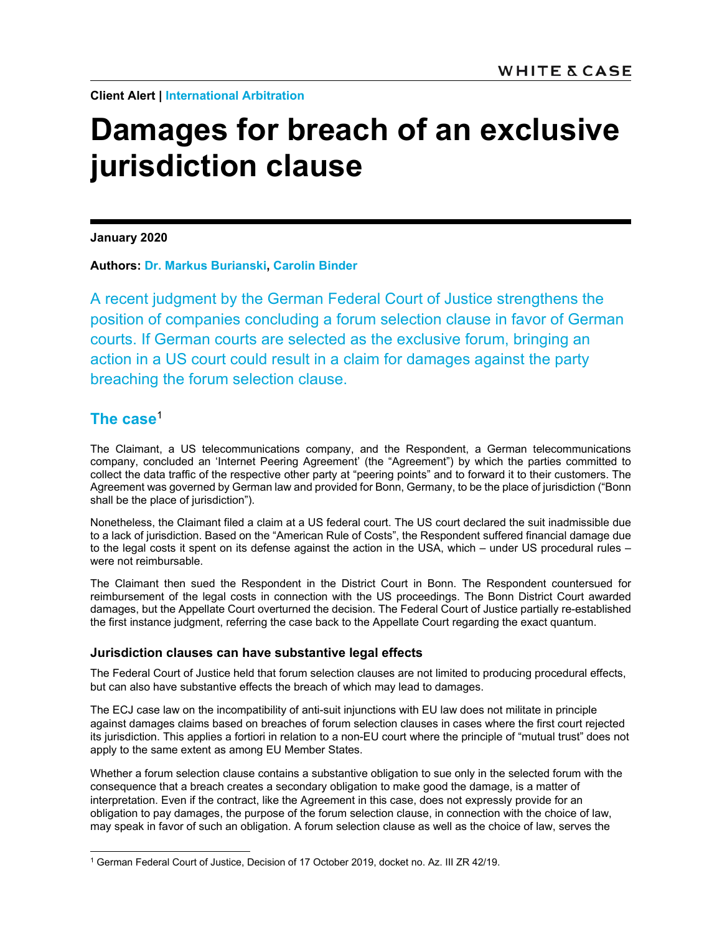**Client Alert | International Arbitration**

# **Damages for breach of an exclusive jurisdiction clause**

**January 2020** 

**Authors: Dr. Markus Burianski, Carolin Binder**

A recent judgment by the German Federal Court of Justice strengthens the position of companies concluding a forum selection clause in favor of German courts. If German courts are selected as the exclusive forum, bringing an action in a US court could result in a claim for damages against the party breaching the forum selection clause.

# **The case**<sup>1</sup>

 $\overline{a}$ 

The Claimant, a US telecommunications company, and the Respondent, a German telecommunications company, concluded an 'Internet Peering Agreement' (the "Agreement") by which the parties committed to collect the data traffic of the respective other party at "peering points" and to forward it to their customers. The Agreement was governed by German law and provided for Bonn, Germany, to be the place of jurisdiction ("Bonn shall be the place of jurisdiction").

Nonetheless, the Claimant filed a claim at a US federal court. The US court declared the suit inadmissible due to a lack of jurisdiction. Based on the "American Rule of Costs", the Respondent suffered financial damage due to the legal costs it spent on its defense against the action in the USA, which – under US procedural rules – were not reimbursable.

The Claimant then sued the Respondent in the District Court in Bonn. The Respondent countersued for reimbursement of the legal costs in connection with the US proceedings. The Bonn District Court awarded damages, but the Appellate Court overturned the decision. The Federal Court of Justice partially re-established the first instance judgment, referring the case back to the Appellate Court regarding the exact quantum.

## **Jurisdiction clauses can have substantive legal effects**

The Federal Court of Justice held that forum selection clauses are not limited to producing procedural effects, but can also have substantive effects the breach of which may lead to damages.

The ECJ case law on the incompatibility of anti-suit injunctions with EU law does not militate in principle against damages claims based on breaches of forum selection clauses in cases where the first court rejected its jurisdiction. This applies a fortiori in relation to a non-EU court where the principle of "mutual trust" does not apply to the same extent as among EU Member States.

Whether a forum selection clause contains a substantive obligation to sue only in the selected forum with the consequence that a breach creates a secondary obligation to make good the damage, is a matter of interpretation. Even if the contract, like the Agreement in this case, does not expressly provide for an obligation to pay damages, the purpose of the forum selection clause, in connection with the choice of law, may speak in favor of such an obligation. A forum selection clause as well as the choice of law, serves the

<sup>1</sup> German Federal Court of Justice, Decision of 17 October 2019, docket no. Az. III ZR 42/19.